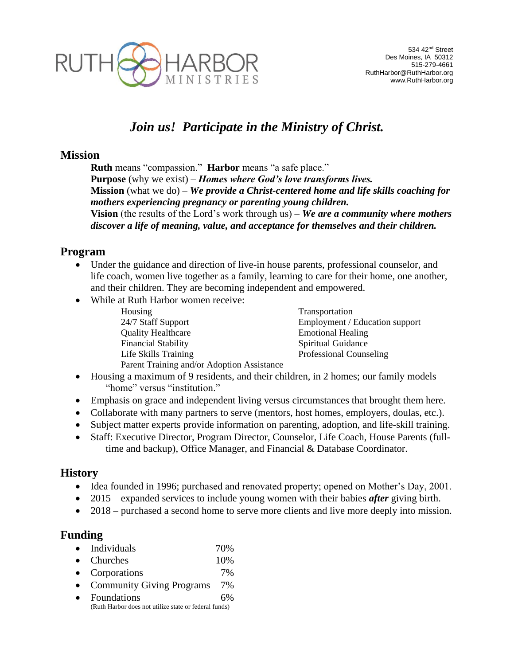

# *Join us! Participate in the Ministry of Christ.*

#### **Mission**

**Ruth** means "compassion." **Harbor** means "a safe place." **Purpose** (why we exist) – *Homes where God's love transforms lives.* **Mission** (what we do) – *We provide a Christ-centered home and life skills coaching for mothers experiencing pregnancy or parenting young children.* **Vision** (the results of the Lord's work through us) – *We are a community where mothers discover a life of meaning, value, and acceptance for themselves and their children.*

### **Program**

- Under the guidance and direction of live-in house parents, professional counselor, and life coach, women live together as a family, learning to care for their home, one another, and their children. They are becoming independent and empowered.
- While at Ruth Harbor women receive:
	- Housing Transportation 24/7 Staff Support Employment / Education support Quality Healthcare Emotional Healing Financial Stability Spiritual Guidance Life Skills Training Professional Counseling Parent Training and/or Adoption Assistance
- Housing a maximum of 9 residents, and their children, in 2 homes; our family models "home" versus "institution."
- Emphasis on grace and independent living versus circumstances that brought them here.
- Collaborate with many partners to serve (mentors, host homes, employers, doulas, etc.).
- Subject matter experts provide information on parenting, adoption, and life-skill training.
- Staff: Executive Director, Program Director, Counselor, Life Coach, House Parents (fulltime and backup), Office Manager, and Financial & Database Coordinator.

### **History**

- Idea founded in 1996; purchased and renovated property; opened on Mother's Day, 2001.
- 2015 expanded services to include young women with their babies *after* giving birth.
- 2018 purchased a second home to serve more clients and live more deeply into mission.

### **Funding**

| $\bullet$ | Individuals                      | 70%  |
|-----------|----------------------------------|------|
|           | $\bullet$ Churches               | 10\% |
|           | • Corporations                   | 7%   |
| $\bullet$ | <b>Community Giving Programs</b> | 7%   |

 Foundations 6% (Ruth Harbor does not utilize state or federal funds)